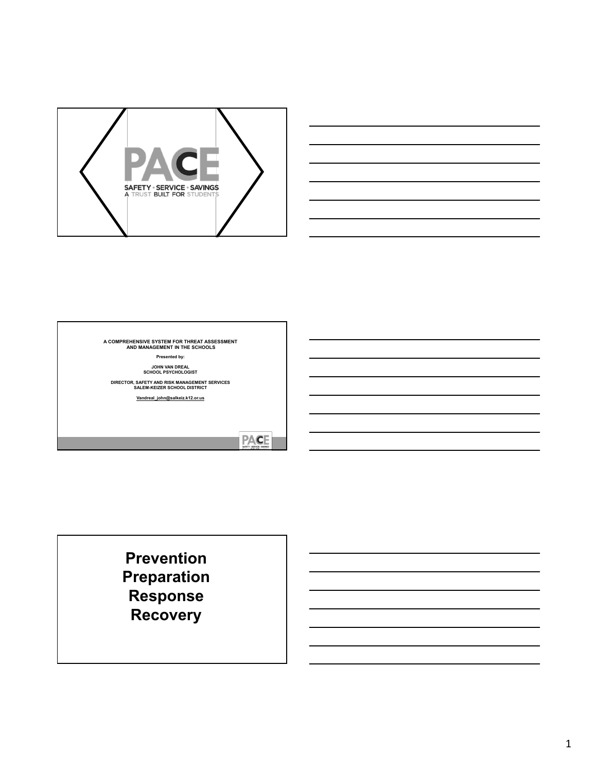





**PACE** 

**Prevention Preparation Response Recovery**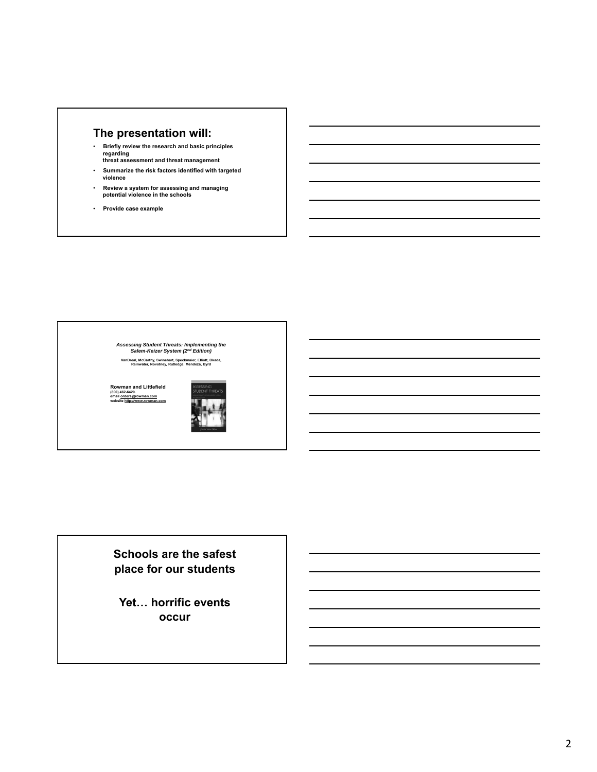# **The presentation will:**

- **Briefly review the research and basic principles regarding threat assessment and threat management**
- **Summarize the risk factors identified with targeted violence**
- **Review a system for assessing and managing potential violence in the schools**
- **Provide case example**

*Assessing Student Threats: Implementing the Salem-Keizer System (2nd Edition)*

**VanDreal, McCarthy, Swinehart, Speckmaier, Elliott, Okada, Rainwater, Novotney, Rutledge, Mendoza, Byrd**

**Rowman and Littlefield (800) 462-6420. email orders@rowman.com website http://www.rowman.com**



**Schools are the safest place for our students**

**Yet… horrific events occur**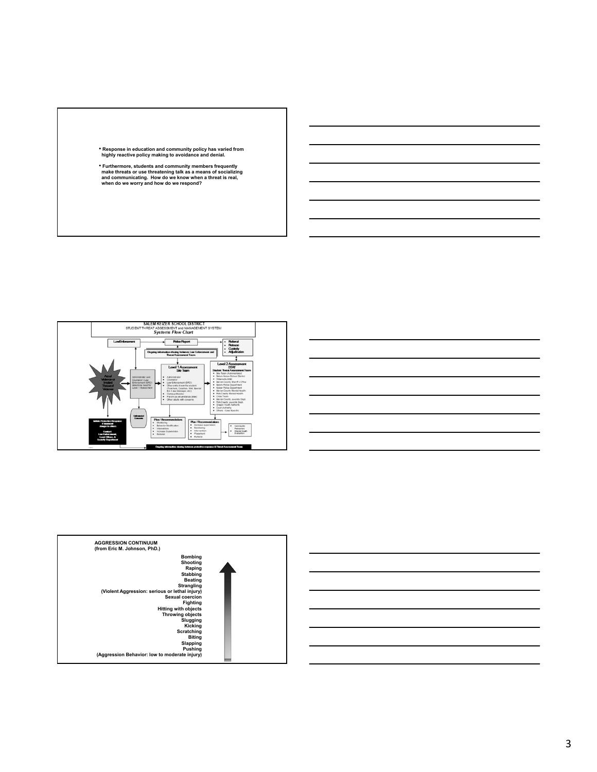





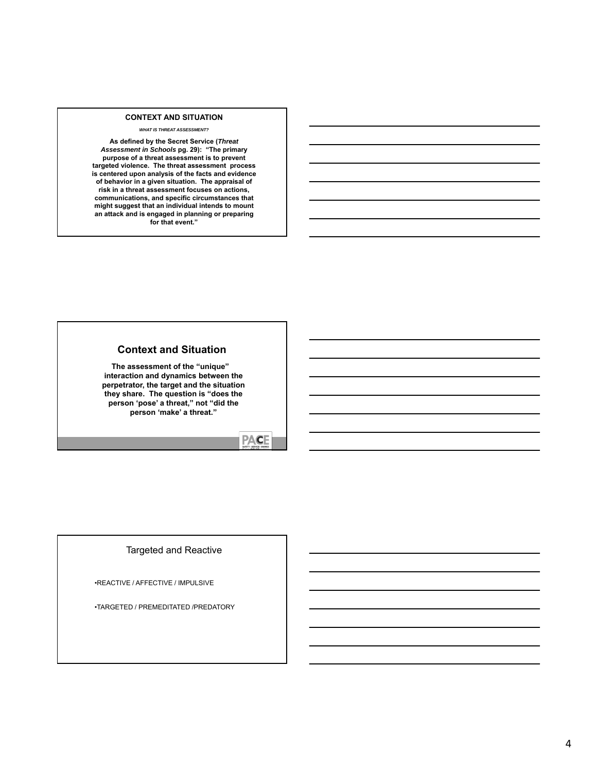#### **CONTEXT AND SITUATION**

*WHAT IS THREAT ASSESSMENT?*

**As defined by the Secret Service (***Threat Assessment in Schools* **pg. 29): "The primary purpose of a threat assessment is to prevent targeted violence. The threat assessment process is centered upon analysis of the facts and evidence of behavior in a given situation. The appraisal of risk in a threat assessment focuses on actions, communications, and specific circumstances that might suggest that an individual intends to mount an attack and is engaged in planning or preparing for that event."**

### **Context and Situation**

**The assessment of the "unique" interaction and dynamics between the perpetrator, the target and the situation they share. The question is "does the person 'pose' a threat," not "did the person 'make' a threat."**

# **PACE**

### Targeted and Reactive

•REACTIVE / AFFECTIVE / IMPULSIVE

•TARGETED / PREMEDITATED /PREDATORY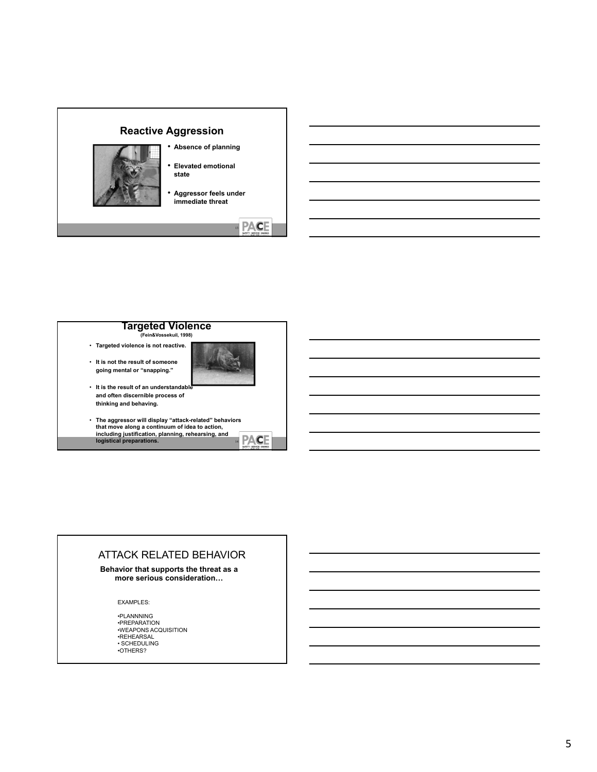



- **and often discernible process of thinking and behaving.**
- **The aggressor will display "attack-related" behaviors that move along a continuum of idea to action, including justification, planning, rehearsing, and logistical preparations.** <sup>14</sup> **PACE**

## ATTACK RELATED BEHAVIOR

**Behavior that supports the threat as a more serious consideration…**

EXAMPLES:

•PLANNNING •PREPARATION •WEAPONS ACQUISITION •REHEARSAL • SCHEDULING •OTHERS?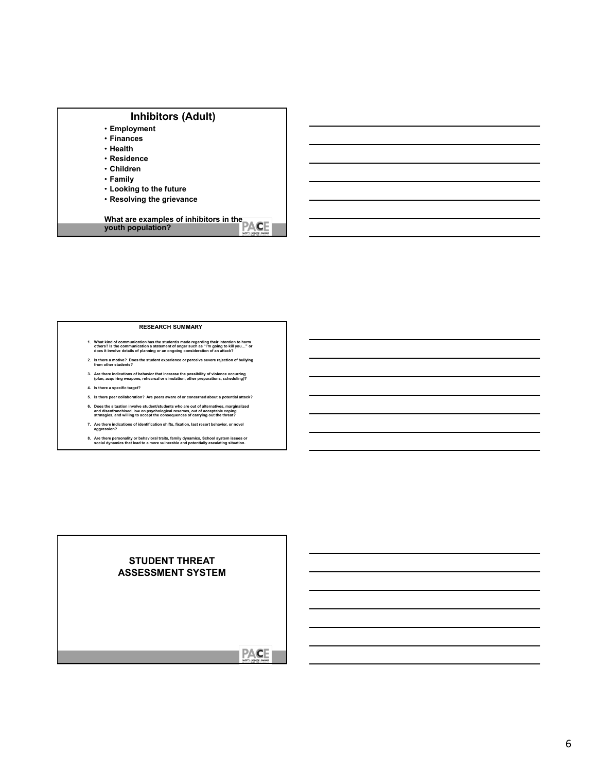| <b>Inhibitors (Adult)</b>              |
|----------------------------------------|
| • Employment                           |
| • Finances                             |
| • Health                               |
| • Residence                            |
| • Children                             |
| • Family                               |
| • Looking to the future                |
| • Resolving the grievance              |
| What are examples of inhibitors in the |
| youth population?                      |

#### **RESEARCH SUMMARY**

- 1. What kind of communication has the student/s made regarding their intention to harm<br>others? Is the communication a statement of anger such as "I'm going to kill you…" or<br>does it involve details of planning or an ongoing
- **2. Is there a motive? Does the student experience or perceive severe rejection of bullying from other students?**
- **3. Are there indications of behavior that increase the possibility of violence occurring (plan, acquiring weapons, rehearsal or simulation, other preparations, scheduling)?**
- **4. Is there a specific target?**
- **5. Is there peer collaboration? Are peers aware of or concerned about a potential attack?** 6. Does the situation involve student/students who are out of alternatives, marginalized<br>and disenfranchised, low on psychological reserves, out of acceptable coping<br>strategies, and willing to accept the consequences of ca
- **7. Are there indications of identification shifts, fixation, last resort behavior, or novel aggression?**
- **8. Are there personality or behavioral traits, family dynamics, School system issues or social dynamics that lead to a more vulnerable and potentially escalating situation.**

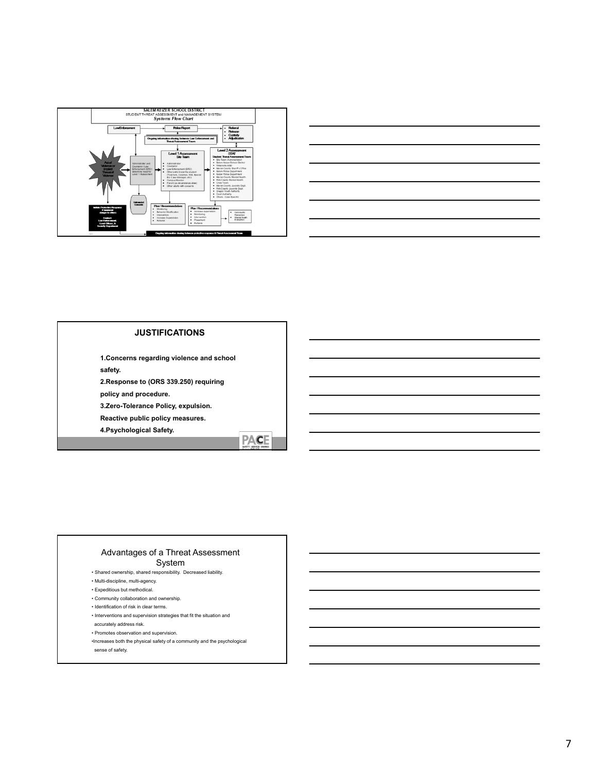



### **JUSTIFICATIONS**

**1.Concerns regarding violence and school safety.**

**2.Response to (ORS 339.250) requiring** 

**policy and procedure.**

**3.Zero-Tolerance Policy, expulsion.** 

**Reactive public policy measures.**

**4.Psychological Safety.**



# Advantages of a Threat Assessment

System

- Shared ownership, shared responsibility. Decreased liability.
- Multi-discipline, multi-agency. • Expeditious but methodical.
- Community collaboration and ownership.
- Identification of risk in clear terms.
- Interventions and supervision strategies that fit the situation and
- accurately address risk.
- Promotes observation and supervision.
- •Increases both the physical safety of a community and the psychological
- sense of safety.